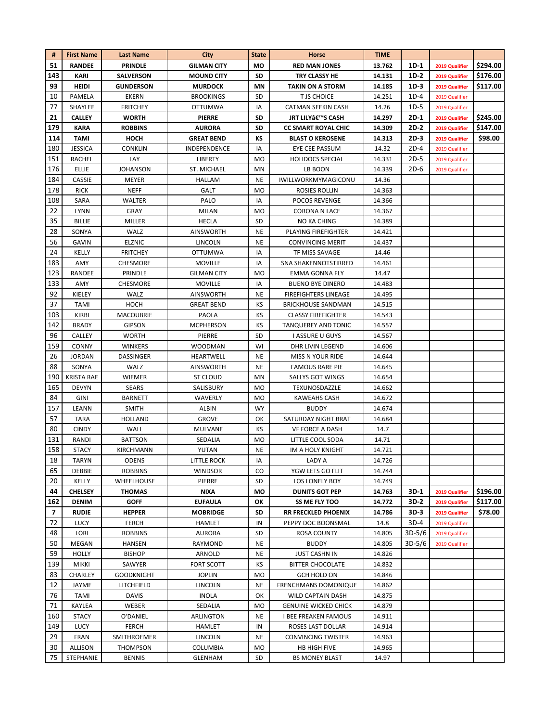| #   | <b>First Name</b> | <b>Last Name</b>  | City               | <b>State</b> | Horse                       | <b>TIME</b> |          |                |          |
|-----|-------------------|-------------------|--------------------|--------------|-----------------------------|-------------|----------|----------------|----------|
| 51  | <b>RANDEE</b>     | PRINDLE           | <b>GILMAN CITY</b> | MO           | <b>RED MAN JONES</b>        | 13.762      | 1D-1     | 2019 Qualifier | \$294.00 |
| 143 | KARI              | <b>SALVERSON</b>  | <b>MOUND CITY</b>  | SD           | TRY CLASSY HE               | 14.131      | $1D-2$   | 2019 Qualifier | \$176.00 |
| 93  | HEIDI             | <b>GUNDERSON</b>  | <b>MURDOCK</b>     | MN           | <b>TAKIN ON A STORM</b>     | 14.185      | $1D-3$   | 2019 Qualifier | \$117.00 |
| 10  | PAMELA            | <b>EKERN</b>      | <b>BROOKINGS</b>   | <b>SD</b>    | <b>T JS CHOICE</b>          | 14.251      | $1D-4$   | 2019 Qualifier |          |
| 77  | SHAYLEE           | <b>FRITCHEY</b>   | <b>OTTUMWA</b>     | IA           | CATMAN SEEKIN CASH          | 14.26       | $1D-5$   | 2019 Qualifier |          |
| 21  | <b>CALLEY</b>     | <b>WORTH</b>      | <b>PIERRE</b>      | SD           | JRT LILY'S CASH             | 14.297      | $2D-1$   | 2019 Qualifier | \$245.00 |
| 179 | <b>KARA</b>       | <b>ROBBINS</b>    | <b>AURORA</b>      | <b>SD</b>    | <b>CC SMART ROYAL CHIC</b>  | 14.309      | $2D-2$   | 2019 Qualifier | \$147.00 |
| 114 | <b>TAMI</b>       | HOCH              | <b>GREAT BEND</b>  | КS           | <b>BLAST O KEROSENE</b>     | 14.313      | 2D-3     | 2019 Qualifier | \$98.00  |
| 180 | <b>JESSICA</b>    | CONKLIN           | INDEPENDENCE       | IA           | EYE CEE PASSUM              | 14.32       | $2D-4$   | 2019 Qualifier |          |
| 151 | RACHEL            | LAY               | LIBERTY            | MO           | <b>HOLIDOCS SPECIAL</b>     | 14.331      | $2D-5$   | 2019 Qualifier |          |
| 176 | ELLIE             | <b>JOHANSON</b>   | ST. MICHAEL        | MN           | LB BOON                     | 14.339      | $2D-6$   | 2019 Qualifier |          |
| 184 | <b>CASSIE</b>     | MEYER             | HALLAM             | NE           | IWILLWORKMYMAGICONU         | 14.36       |          |                |          |
| 178 | <b>RICK</b>       | NEFF              | GALT               | MO           | ROSIES ROLLIN               | 14.363      |          |                |          |
| 108 | SARA              | WALTER            | PALO               | IA           | <b>POCOS REVENGE</b>        | 14.366      |          |                |          |
| 22  | LYNN              | GRAY              | MILAN              | <b>MO</b>    | CORONA N LACE               | 14.367      |          |                |          |
| 35  | <b>BILLIE</b>     | MILLER            | HECLA              | SD           | NO KA CHING                 | 14.389      |          |                |          |
| 28  | SONYA             | WALZ              | <b>AINSWORTH</b>   | <b>NE</b>    | PLAYING FIREFIGHTER         | 14.421      |          |                |          |
| 56  | <b>GAVIN</b>      | <b>ELZNIC</b>     | LINCOLN            | NE           | <b>CONVINCING MERIT</b>     | 14.437      |          |                |          |
| 24  | KELLY             | <b>FRITCHEY</b>   | OTTUMWA            | IA           | TF MISS SAVAGE              | 14.46       |          |                |          |
| 183 | AMY               | CHESMORE          | <b>MOVILLE</b>     | IA           | SNA SHAKENNOTSTIRRED        | 14.461      |          |                |          |
| 123 | RANDEE            | PRINDLE           | <b>GILMAN CITY</b> | MO           | <b>EMMA GONNA FLY</b>       | 14.47       |          |                |          |
| 133 | AMY               | CHESMORE          | <b>MOVILLE</b>     | IA           | <b>BUENO BYE DINERO</b>     | 14.483      |          |                |          |
| 92  | KIELEY            | WALZ              | <b>AINSWORTH</b>   | NE           | <b>FIREFIGHTERS LINEAGE</b> | 14.495      |          |                |          |
| 37  | <b>TAMI</b>       | HOCH              | <b>GREAT BEND</b>  | КS           | <b>BRICKHOUSE SANDMAN</b>   | 14.515      |          |                |          |
| 103 | KIRBI             | <b>MACOUBRIE</b>  | PAOLA              | КS           | <b>CLASSY FIREFIGHTER</b>   | 14.543      |          |                |          |
| 142 | <b>BRADY</b>      | <b>GIPSON</b>     | <b>MCPHERSON</b>   | КS           | TANQUEREY AND TONIC         | 14.557      |          |                |          |
| 96  | <b>CALLEY</b>     | <b>WORTH</b>      | PIERRE             | SD           | <b>I ASSURE U GUYS</b>      | 14.567      |          |                |          |
| 159 | <b>CONNY</b>      | <b>WINKERS</b>    | <b>WOODMAN</b>     | WI           | DHR LIVIN LEGEND            | 14.606      |          |                |          |
| 26  | <b>JORDAN</b>     | DASSINGER         | HEARTWELL          | NE           | <b>MISS N YOUR RIDE</b>     | 14.644      |          |                |          |
| 88  | SONYA             | WALZ              | <b>AINSWORTH</b>   | NE           | <b>FAMOUS RARE PIE</b>      | 14.645      |          |                |          |
| 190 | <b>KRISTA RAE</b> | <b>WIEMER</b>     | ST CLOUD           | MN           | <b>SALLYS GOT WINGS</b>     | 14.654      |          |                |          |
| 165 | <b>DEVYN</b>      | SEARS             | SALISBURY          | <b>MO</b>    | TEXUNOSDAZZLE               | 14.662      |          |                |          |
| 84  | GINI              | <b>BARNETT</b>    | WAVERLY            | <b>MO</b>    | <b>KAWEAHS CASH</b>         | 14.672      |          |                |          |
| 157 | LEANN             | <b>SMITH</b>      | ALBIN              | <b>WY</b>    | <b>BUDDY</b>                | 14.674      |          |                |          |
| 57  | TARA              | <b>HOLLAND</b>    | <b>GROVE</b>       | ок           | SATURDAY NIGHT BRAT         | 14.684      |          |                |          |
| 80  | <b>CINDY</b>      | WALL              | MULVANE            | КS           | <b>VF FORCE A DASH</b>      | 14.7        |          |                |          |
| 131 | RANDI             | <b>BATTSON</b>    | SEDALIA            | <b>MO</b>    | LITTLE COOL SODA            | 14.71       |          |                |          |
| 158 | <b>STACY</b>      | <b>KIRCHMANN</b>  | YUTAN              | <b>NE</b>    | IM A HOLY KNIGHT            | 14.721      |          |                |          |
| 18  | TARYN             | ODENS             | LITTLE ROCK        | IA           | LADY A                      | 14.726      |          |                |          |
| 65  | DEBBIE            | <b>ROBBINS</b>    | <b>WINDSOR</b>     | CO           | YGW LETS GO FLIT            | 14.744      |          |                |          |
| 20  | KELLY             | WHEELHOUSE        | PIERRE             | SD           | LOS LONELY BOY              | 14.749      |          |                |          |
| 44  | <b>CHELSEY</b>    | <b>THOMAS</b>     | <b>NIXA</b>        | MO           | <b>DUNITS GOT PEP</b>       | 14.763      | $3D-1$   | 2019 Qualifier | \$196.00 |
| 162 | <b>DENIM</b>      | <b>GOFF</b>       | <b>EUFAULA</b>     | ОΚ           | SS ME FLY TOO               | 14.772      | 3D-2     | 2019 Qualifier | \$117.00 |
| 7   | <b>RUDIE</b>      | <b>HEPPER</b>     | <b>MOBRIDGE</b>    | SD           | <b>RR FRECKLED PHOENIX</b>  | 14.786      | $3D-3$   | 2019 Qualifier | \$78.00  |
| 72  | <b>LUCY</b>       | <b>FERCH</b>      | <b>HAMLET</b>      | IN           | PEPPY DOC BOONSMAL          | 14.8        | 3D-4     | 2019 Qualifier |          |
| 48  | LORI              | <b>ROBBINS</b>    | <b>AURORA</b>      | SD           | ROSA COUNTY                 | 14.805      | $3D-5/6$ | 2019 Qualifier |          |
| 50  | MEGAN             | HANSEN            | RAYMOND            | NE           | <b>BUDDY</b>                | 14.805      | $3D-5/6$ | 2019 Qualifier |          |
| 59  | <b>HOLLY</b>      | <b>BISHOP</b>     | ARNOLD             | NE           | <b>JUST CASHN IN</b>        | 14.826      |          |                |          |
| 139 | <b>MIKKI</b>      | SAWYER            | FORT SCOTT         | КS           | <b>BITTER CHOCOLATE</b>     | 14.832      |          |                |          |
| 83  | CHARLEY           | <b>GOODKNIGHT</b> | <b>JOPLIN</b>      | MO           | <b>GCH HOLD ON</b>          | 14.846      |          |                |          |
| 12  | JAYME             | LITCHFIELD        | LINCOLN            | NE           | <b>FRENCHMANS DOMONIQUE</b> | 14.862      |          |                |          |
| 76  | TAMI              | <b>DAVIS</b>      | <b>INOLA</b>       | ОК           | <b>WILD CAPTAIN DASH</b>    | 14.875      |          |                |          |
| 71  | KAYLEA            | WEBER             | SEDALIA            | MO           | <b>GENUINE WICKED CHICK</b> | 14.879      |          |                |          |
| 160 | <b>STACY</b>      | O'DANIEL          | ARLINGTON          | NE           | <b>I BEE FREAKEN FAMOUS</b> | 14.911      |          |                |          |
| 149 | <b>LUCY</b>       | FERCH             | HAMLET             | IN           | ROSES LAST DOLLAR           | 14.914      |          |                |          |
| 29  | FRAN              | SMITHROEMER       | LINCOLN            | NE           | <b>CONVINCING TWISTER</b>   | 14.963      |          |                |          |
| 30  | ALLISON           | <b>THOMPSON</b>   | <b>COLUMBIA</b>    | MO           | HB HIGH FIVE                | 14.965      |          |                |          |
| 75  | STEPHANIE         | <b>BENNIS</b>     | GLENHAM            | SD           | <b>BS MONEY BLAST</b>       | 14.97       |          |                |          |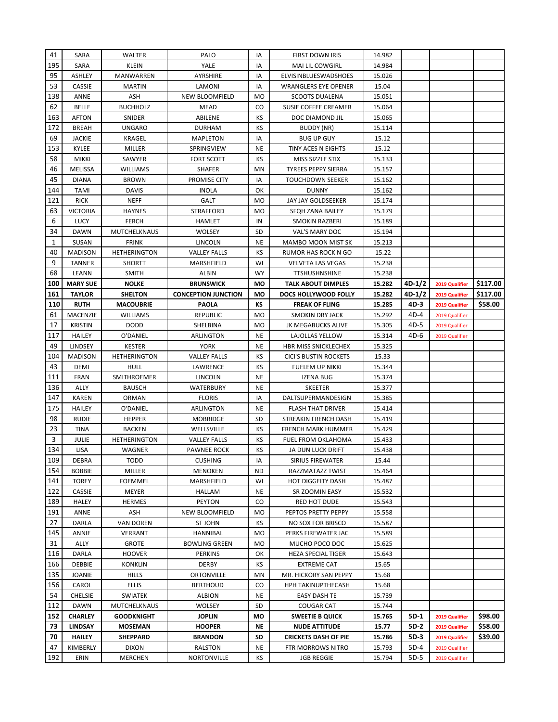| 41           | SARA             | WALTER                         | PALO                       | IA              | <b>FIRST DOWN IRIS</b>                 | 14.982           |                |                                  |          |
|--------------|------------------|--------------------------------|----------------------------|-----------------|----------------------------------------|------------------|----------------|----------------------------------|----------|
| 195          | SARA             | KLEIN                          | YALE                       | ΙA              | <b>MAI LIL COWGIRL</b>                 | 14.984           |                |                                  |          |
| 95           | ASHLEY           | <b>MANWARREN</b>               | AYRSHIRE                   | IA              | ELVISINBLUESWADSHOES                   | 15.026           |                |                                  |          |
| 53           | <b>CASSIE</b>    | <b>MARTIN</b>                  | LAMONI                     | IA              | <b>WRANGLERS EYE OPENER</b>            | 15.04            |                |                                  |          |
| 138          | ANNE             | ASH                            | <b>NEW BLOOMFIELD</b>      | <b>MO</b>       | <b>SCOOTS DUALENA</b>                  | 15.051           |                |                                  |          |
| 62           | BELLE            | <b>BUCHHOLZ</b>                | <b>MEAD</b>                | CO              | SUSIE COFFEE CREAMER                   | 15.064           |                |                                  |          |
| 163          | <b>AFTON</b>     | SNIDER                         | ABILENE                    | КS              | DOC DIAMOND JIL                        | 15.065           |                |                                  |          |
| 172          | <b>BREAH</b>     | <b>UNGARO</b>                  | <b>DURHAM</b>              | ΚS              | BUDDY (NR)                             | 15.114           |                |                                  |          |
| 69           | JACKIE           | <b>KRAGEL</b>                  | <b>MAPLETON</b>            | IA              | <b>BUG UP GUY</b>                      | 15.12            |                |                                  |          |
| 153          | KYLEE            | MILLER                         | SPRINGVIEW                 | <b>NE</b>       | TINY ACES N EIGHTS                     | 15.12            |                |                                  |          |
| 58           | <b>MIKKI</b>     | SAWYER                         | FORT SCOTT                 | КS              | MISS SIZZLE STIX                       | 15.133           |                |                                  |          |
| 46           | MELISSA          | WILLIAMS                       | SHAFER                     | MN              | <b>TYREES PEPPY SIERRA</b>             | 15.157           |                |                                  |          |
| 45           | <b>DIANA</b>     | <b>BROWN</b>                   | PROMISE CITY               | IA              | <b>TOUCHDOWN SEEKER</b>                | 15.162           |                |                                  |          |
| 144          | TAMI             | <b>DAVIS</b>                   | INOLA                      | ОК              | <b>DUNNY</b>                           | 15.162           |                |                                  |          |
| 121          | <b>RICK</b>      | <b>NEFF</b>                    | GALT                       | <b>MO</b>       | JAY JAY GOLDSEEKER                     | 15.174           |                |                                  |          |
| 63           | <b>VICTORIA</b>  | <b>HAYNES</b>                  | <b>STRAFFORD</b>           | MO              | SFQH ZANA BAILEY                       | 15.179           |                |                                  |          |
| 6            | <b>LUCY</b>      | <b>FERCH</b>                   | HAMLET                     | IN              | SMOKIN RAZBERI                         | 15.189           |                |                                  |          |
| 34           | <b>DAWN</b>      | MUTCHELKNAUS                   | <b>WOLSEY</b>              | <b>SD</b>       | VAL'S MARY DOC                         | 15.194           |                |                                  |          |
| $\mathbf{1}$ | <b>SUSAN</b>     | <b>FRINK</b>                   | <b>LINCOLN</b>             | <b>NE</b>       | <b>MAMBO MOON MIST SK</b>              | 15.213           |                |                                  |          |
| 40           | <b>MADISON</b>   | <b>HETHERINGTON</b>            | <b>VALLEY FALLS</b>        | КS              | RUMOR HAS ROCK N GO                    | 15.22            |                |                                  |          |
| 9            | TANNER           | <b>SHORTT</b>                  | MARSHFIELD                 | WI              | <b>VELVETA LAS VEGAS</b>               | 15.238           |                |                                  |          |
| 68           | LEANN            | <b>SMITH</b>                   | ALBIN                      | <b>WY</b>       | <b>TTSHUSHNSHINE</b>                   | 15.238           |                |                                  |          |
| 100          | <b>MARY SUE</b>  | <b>NOLKE</b>                   | <b>BRUNSWICK</b>           | MO              | <b>TALK ABOUT DIMPLES</b>              | 15.282           | 4D-1/2         | 2019 Qualifier                   | \$117.00 |
| 161          | <b>TAYLOR</b>    | <b>SHELTON</b>                 | <b>CONCEPTION JUNCTION</b> | MO              | DOCS HOLLYWOOD FOLLY                   | 15.282           | 4D-1/2         | 2019 Qualifier                   | \$117.00 |
| 110          | <b>RUTH</b>      | <b>MACOUBRIE</b>               | <b>PAOLA</b>               | КS              | <b>FREAK OF FLING</b>                  | 15.285           | 4D-3           | 2019 Qualifier                   | \$58.00  |
| 61           | MACENZIE         | <b>WILLIAMS</b>                | <b>REPUBLIC</b>            | MO              | <b>SMOKIN DRY JACK</b>                 | 15.292           | 4D-4           | 2019 Qualifier                   |          |
| 17           | <b>KRISTIN</b>   | <b>DODD</b>                    | SHELBINA                   | MO              | JK MEGABUCKS ALIVE                     | 15.305           | $4D-5$         | 2019 Qualifier                   |          |
| 117          | <b>HAILEY</b>    | O'DANIEL                       | ARLINGTON                  | <b>NE</b>       | LAJOLLAS YELLOW                        | 15.314           | 4D-6           | 2019 Qualifier                   |          |
| 49           | LINDSEY          | <b>KESTER</b>                  | YORK                       | <b>NE</b>       | <b>HBR MISS SNICKLECHEX</b>            | 15.325           |                |                                  |          |
| 104          | <b>MADISON</b>   | <b>HETHERINGTON</b>            | <b>VALLEY FALLS</b>        | КS              | <b>CICI'S BUSTIN ROCKETS</b>           | 15.33            |                |                                  |          |
| 43           | DEMI             | HULL                           | LAWRENCE                   | КS              | FUELEM UP NIKKI                        | 15.344           |                |                                  |          |
| 111          | <b>FRAN</b>      | SMITHROEMER                    | LINCOLN                    | NE              | IZENA BUG                              | 15.374           |                |                                  |          |
| 136          | ALLY             | <b>BAUSCH</b>                  | WATERBURY                  | <b>NE</b>       | <b>SKEETER</b>                         | 15.377           |                |                                  |          |
| 147          | KAREN            | ORMAN                          | <b>FLORIS</b>              | IA              | DALTSUPERMANDESIGN                     | 15.385           |                |                                  |          |
| 175          | HAILEY           | O'DANIEL                       | <b>ARLINGTON</b>           | <b>NE</b>       | <b>FLASH THAT DRIVER</b>               | 15.414           |                |                                  |          |
| 98           | <b>RUDIE</b>     | <b>HEPPER</b>                  | <b>MOBRIDGE</b>            | <b>SD</b>       | STREAKIN FRENCH DASH                   | 15.419           |                |                                  |          |
| 23           | <b>TINA</b>      | <b>BACKEN</b>                  | WELLSVILLE                 | КS              | <b>FRENCH MARK HUMMER</b>              | 15.429           |                |                                  |          |
| 3            | <b>JULIE</b>     | <b>HETHERINGTON</b>            | <b>VALLEY FALLS</b>        | ΚS              | FUEL FROM OKLAHOMA                     | 15.433           |                |                                  |          |
| 134          | <b>LISA</b>      | <b>WAGNER</b>                  | <b>PAWNEE ROCK</b>         | КS              | JA DUN LUCK DRIFT                      | 15.438           |                |                                  |          |
| 109          | DEBRA            | <b>TODD</b>                    | <b>CUSHING</b>             | ΙA              | SIRIUS FIREWATER                       | 15.44            |                |                                  |          |
| 154          | <b>BOBBIE</b>    | MILLER                         | <b>MENOKEN</b>             | ND              | RAZZMATAZZ TWIST                       | 15.464           |                |                                  |          |
| 141          | <b>TOREY</b>     | <b>FOEMMEL</b>                 | MARSHFIELD                 | WI              | <b>HOT DIGGEITY DASH</b>               | 15.487           |                |                                  |          |
| 122          | CASSIE           | MEYER                          | HALLAM                     | <b>NE</b>       | SR ZOOMIN EASY                         | 15.532           |                |                                  |          |
| 189          | <b>HALEY</b>     | <b>HERMES</b>                  | <b>PEYTON</b>              | CO.             | RED HOT DUDE                           | 15.543           |                |                                  |          |
| 191          | ANNE             | ASH                            | <b>NEW BLOOMFIELD</b>      | MO              | PEPTOS PRETTY PEPPY                    | 15.558           |                |                                  |          |
| 27           | DARLA            | <b>VAN DOREN</b>               | ST JOHN                    | КS              | NO SOX FOR BRISCO                      | 15.587           |                |                                  |          |
| 145          | ANNIE            | VERRANT                        | HANNIBAL                   | MO              | PERKS FIREWATER JAC                    | 15.589           |                |                                  |          |
| 31           |                  |                                |                            | MO              | MUCHO POCO DOC                         | 15.625           |                |                                  |          |
| 116          | ALLY             | <b>GROTE</b>                   | <b>BOWLING GREEN</b>       |                 |                                        |                  |                |                                  |          |
|              | DARLA            | <b>HOOVER</b>                  | PERKINS                    | ОΚ              | <b>HEZA SPECIAL TIGER</b>              | 15.643           |                |                                  |          |
| 166          | DEBBIE           | <b>KONKLIN</b>                 | DERBY                      | КS              | <b>EXTREME CAT</b>                     | 15.65            |                |                                  |          |
| 135          | JOANIE           | <b>HILLS</b>                   | ORTONVILLE                 | MN              | MR. HICKORY SAN PEPPY                  | 15.68            |                |                                  |          |
| 156          | CAROL            | ELLIS                          | <b>BERTHOUD</b>            | CO              | <b>HPH TAKINUPTHECASH</b>              | 15.68            |                |                                  |          |
| 54           | <b>CHELSIE</b>   | SWIATEK                        | <b>ALBION</b>              | <b>NE</b>       | EASY DASH TE                           | 15.739           |                |                                  |          |
| 112          | <b>DAWN</b>      | MUTCHELKNAUS                   | <b>WOLSEY</b>              | <b>SD</b>       | <b>COUGAR CAT</b>                      | 15.744           |                |                                  |          |
| 152          | <b>CHARLEY</b>   | <b>GOODKNIGHT</b>              | <b>JOPLIN</b>              | MО              | <b>SWEETIE B QUICK</b>                 | 15.765           | 5D-1           | 2019 Qualifier                   | \$98.00  |
| 73           | <b>LINDSAY</b>   | <b>MOSEMAN</b>                 | <b>HOOPER</b>              | NE              | <b>NUDE ATTITUDE</b>                   | 15.77            | 5D-2           | 2019 Qualifier                   | \$58.00  |
| 70           | <b>HAILEY</b>    | <b>SHEPPARD</b>                | <b>BRANDON</b>             | SD              | <b>CRICKETS DASH OF PIE</b>            | 15.786           | 5D-3           | 2019 Qualifier                   | \$39.00  |
| 47<br>192    | KIMBERLY<br>ERIN | <b>DIXON</b><br><b>MERCHEN</b> | RALSTON<br>NORTONVILLE     | <b>NE</b><br>КS | FTR MORROWS NITRO<br><b>JGB REGGIE</b> | 15.793<br>15.794 | 5D-4<br>$5D-5$ | 2019 Qualifier<br>2019 Qualifier |          |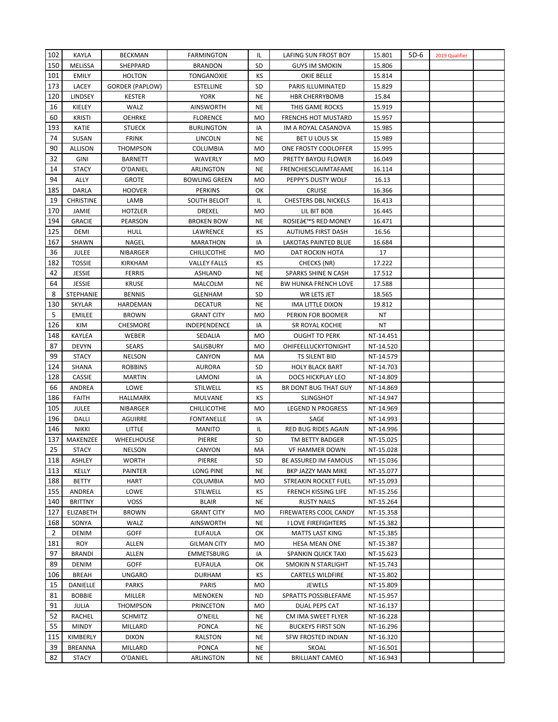| 102            | KAYLA            | <b>BECKMAN</b>           | <b>FARMINGTON</b>                 | IL        | LAFING SUN FROST BOY        | 15.801       | $5D-6$ | 2019 Qualifier |  |
|----------------|------------------|--------------------------|-----------------------------------|-----------|-----------------------------|--------------|--------|----------------|--|
| 150            | <b>MELISSA</b>   | SHEPPARD                 | <b>BRANDON</b>                    | SD        | <b>GUYS IM SMOKIN</b>       | 15.806       |        |                |  |
| 101            | <b>EMILY</b>     | <b>HOLTON</b>            | TONGANOXIE                        | КS        | OKIE BELLE                  | 15.814       |        |                |  |
| 173            | LACEY            | GORDER (PAPLOW)          | <b>ESTELLINE</b>                  | SD        | PARIS ILLUMINATED           | 15.829       |        |                |  |
| 120            | LINDSEY          | <b>KESTER</b>            | <b>YORK</b>                       | <b>NE</b> | <b>HBR CHERRYBOMB</b>       | 15.84        |        |                |  |
| 16             | KIELEY           | WALZ                     | <b>AINSWORTH</b>                  | NE        | THIS GAME ROCKS             | 15.919       |        |                |  |
| 60             | <b>KRISTI</b>    | <b>OEHRKE</b>            | <b>FLORENCE</b>                   | MO        | <b>FRENCHS HOT MUSTARD</b>  | 15.957       |        |                |  |
| 193            | KATIE            | <b>STUECK</b>            | <b>BURLINGTON</b>                 | IA        | IM A ROYAL CASANOVA         | 15.985       |        |                |  |
| 74             | SUSAN            | FRINK                    | LINCOLN                           | <b>NE</b> | <b>BET U LOUS SK</b>        | 15.989       |        |                |  |
| 90             | <b>ALLISON</b>   | <b>THOMPSON</b>          | <b>COLUMBIA</b>                   | MO        | ONE FROSTY COOLOFFER        | 15.995       |        |                |  |
| 32             | GINI             | <b>BARNETT</b>           | WAVERLY                           | MO        | PRETTY BAYOU FLOWER         | 16.049       |        |                |  |
| 14             | STACY            | O'DANIEL                 | ARLINGTON                         | <b>NE</b> | FRENCHIESCLAIMTAFAME        | 16.114       |        |                |  |
| 94             | ALLY             | <b>GROTE</b>             | <b>BOWLING GREEN</b>              | <b>MO</b> | PEPPY'S DUSTY WOLF          | 16.13        |        |                |  |
| 185            | DARLA            | <b>HOOVER</b>            | <b>PERKINS</b>                    | OK        | <b>CRUISE</b>               | 16.366       |        |                |  |
| 19             | <b>CHRISTINE</b> | LAMB                     | SOUTH BELOIT                      | IL        | <b>CHESTERS DBL NICKELS</b> | 16.413       |        |                |  |
| 170            | JAMIE            | HOTZLER                  | DREXEL                            | MO        | LIL BIT BOB                 | 16.445       |        |                |  |
| 194            | <b>GRACIE</b>    | PEARSON                  | <b>BROKEN BOW</b>                 | NE        | ROSIE'S RED MONEY           | 16.471       |        |                |  |
| 125            | DEMI             | <b>HULL</b>              | LAWRENCE                          | ΚS        | <b>AUTIUMS FIRST DASH</b>   | 16.56        |        |                |  |
| 167            | SHAWN            | NAGEL                    | <b>MARATHON</b>                   | IA        | LAKOTAS PAINTED BLUE        | 16.684       |        |                |  |
| 36             | JULEE            | NIBARGER                 | <b>CHILLICOTHE</b>                | <b>MO</b> | DAT ROCKIN HOTA             | 17           |        |                |  |
| 182            | <b>TOSSIE</b>    | KIRKHAM                  | <b>VALLEY FALLS</b>               | КS        | CHECKS (NR)                 | 17.222       |        |                |  |
| 42             | JESSIE           | <b>FERRIS</b>            | ASHLAND                           | <b>NE</b> | SPARKS SHINE N CASH         | 17.512       |        |                |  |
| 64             | JESSIE           | <b>KRUSE</b>             | MALCOLM                           | <b>NE</b> | <b>BW HUNKA FRENCH LOVE</b> | 17.588       |        |                |  |
| 8              | STEPHANIE        | <b>BENNIS</b>            | <b>GLENHAM</b>                    | <b>SD</b> | WR LETS JET                 | 18.565       |        |                |  |
| 130            | <b>SKYLAR</b>    |                          |                                   | <b>NE</b> |                             |              |        |                |  |
| 5              |                  | HARDEMAN<br><b>BROWN</b> | <b>DECATUR</b>                    | MO        | IMA LITTLE DIXON            | 19.812<br>ΝT |        |                |  |
| 126            | <b>EMILEE</b>    | <b>CHESMORE</b>          | <b>GRANT CITY</b><br>INDEPENDENCE |           | PERKIN FOR BOOMER           | ΝT           |        |                |  |
|                | KIM              |                          |                                   | IA        | SR ROYAL KOCHIE             |              |        |                |  |
| 148<br>87      | KAYLEA           | WEBER                    | SEDALIA                           | MO        | <b>OUGHT TO PERK</b>        | NT-14.451    |        |                |  |
|                | <b>DEVYN</b>     | <b>SEARS</b>             | SALISBURY                         | MO        | OHIFEELLUCKYTONIGHT         | NT-14.520    |        |                |  |
| 99             | <b>STACY</b>     | <b>NELSON</b>            | CANYON                            | MA        | TS SILENT BID               | NT-14.579    |        |                |  |
| 124            | SHANA            | <b>ROBBINS</b>           | <b>AURORA</b>                     | SD        | <b>HOLY BLACK BART</b>      | NT-14.703    |        |                |  |
| 128            | CASSIE           | <b>MARTIN</b>            | LAMONI                            | IA        | DOCS HICKPLAY LEO           | NT-14.809    |        |                |  |
| 66             | ANDREA           | LOWE                     | STILWELL                          | КS        | BR DONT BUG THAT GUY        | NT-14.869    |        |                |  |
| 186            | <b>FAITH</b>     | HALLMARK                 | MULVANE                           | КS        | <b>SLINGSHOT</b>            | NT-14.947    |        |                |  |
| 105            | <b>JULEE</b>     | NIBARGER                 | <b>CHILLICOTHE</b>                | <b>MO</b> | <b>LEGEND N PROGRESS</b>    | NT-14.969    |        |                |  |
| 196            | DALLI            | AGUIRRE                  | <b>FONTANELLE</b>                 | IA        | SAGE                        | NT-14.993    |        |                |  |
| 146            | <b>NIKKI</b>     | LITTLE                   | MANITO                            | IL        | RED BUG RIDES AGAIN         | NT-14.996    |        |                |  |
| 137            | MAKENZEE         | <b>WHEELHOUSE</b>        | PIERRE                            | <b>SD</b> | TM BETTY BADGER             | NT-15.025    |        |                |  |
| 25             | STACY            | <b>NELSON</b>            | CANYON                            | MA        | VF HAMMER DOWN              | NT-15.028    |        |                |  |
| 118            | ASHLEY           | <b>WORTH</b>             | PIERRE                            | <b>SD</b> | BE ASSURED IM FAMOUS        | NT-15.036    |        |                |  |
| 113            | KELLY            | PAINTER                  | LONG PINE                         | NE        | BKP JAZZY MAN MIKE          | NT-15.077    |        |                |  |
| 188            | BETTY            | HART                     | <b>COLUMBIA</b>                   | MO        | STREAKIN ROCKET FUEL        | NT-15.093    |        |                |  |
| 155            | ANDREA           | LOWE                     | STILWELL                          | КS        | <b>FRENCH KISSING LIFE</b>  | NT-15.256    |        |                |  |
| 140            | <b>BRITTNY</b>   | <b>VOSS</b>              | <b>BLAIR</b>                      | <b>NE</b> | <b>RUSTY NAILS</b>          | NT-15.264    |        |                |  |
| 127            | <b>ELIZABETH</b> | <b>BROWN</b>             | <b>GRANT CITY</b>                 | <b>MO</b> | FIREWATERS COOL CANDY       | NT-15.358    |        |                |  |
| 168            | SONYA            | WALZ                     | <b>AINSWORTH</b>                  | NE        | <b>I LOVE FIREFIGHTERS</b>  | NT-15.382    |        |                |  |
| $\overline{2}$ | <b>DENIM</b>     | <b>GOFF</b>              | <b>EUFAULA</b>                    | ОΚ        | <b>MATTS LAST KING</b>      | NT-15.385    |        |                |  |
| 181            | <b>ROY</b>       | ALLEN                    | <b>GILMAN CITY</b>                | MO        | HESA MEAN ONE               | NT-15.387    |        |                |  |
| 97             | <b>BRANDI</b>    | <b>ALLEN</b>             | <b>EMMETSBURG</b>                 | IA        | <b>SPANKIN QUICK TAXI</b>   | NT-15.623    |        |                |  |
| 89             | <b>DENIM</b>     | <b>GOFF</b>              | EUFAULA                           | ОК        | SMOKIN N STARLIGHT          | NT-15.743    |        |                |  |
| 106            | BREAH            | UNGARO                   | <b>DURHAM</b>                     | КS        | <b>CARTELS WILDFIRE</b>     | NT-15.802    |        |                |  |
| 15             | DANIELLE         | PARKS                    | PARIS                             | MO        | JEWELS                      | NT-15.809    |        |                |  |
| 81             | <b>BOBBIE</b>    | MILLER                   | <b>MENOKEN</b>                    | ND        | SPRATTS POSSIBLEFAME        | NT-15.957    |        |                |  |
| 91             | <b>JULIA</b>     | <b>THOMPSON</b>          | <b>PRINCETON</b>                  | <b>MO</b> | DUAL PEPS CAT               | NT-16.137    |        |                |  |
| 52             | RACHEL           | <b>SCHMITZ</b>           | O'NEILL                           | <b>NE</b> | CM IMA SWEET FLYER          | NT-16.228    |        |                |  |
| 55             | <b>MINDY</b>     | MILLARD                  | <b>PONCA</b>                      | NE        | <b>BUCKEYS FIRST SON</b>    | NT-16.296    |        |                |  |
| 115            | KIMBERLY         | <b>DIXON</b>             | RALSTON                           | NE        | SFW FROSTED INDIAN          | NT-16.320    |        |                |  |
| 39             | <b>BREANNA</b>   | MILLARD                  | <b>PONCA</b>                      | <b>NE</b> | <b>SKOAL</b>                | NT-16.501    |        |                |  |
| 82             | STACY            | O'DANIEL                 | ARLINGTON                         | NE        | <b>BRILLIANT CAMEO</b>      | NT-16.943    |        |                |  |